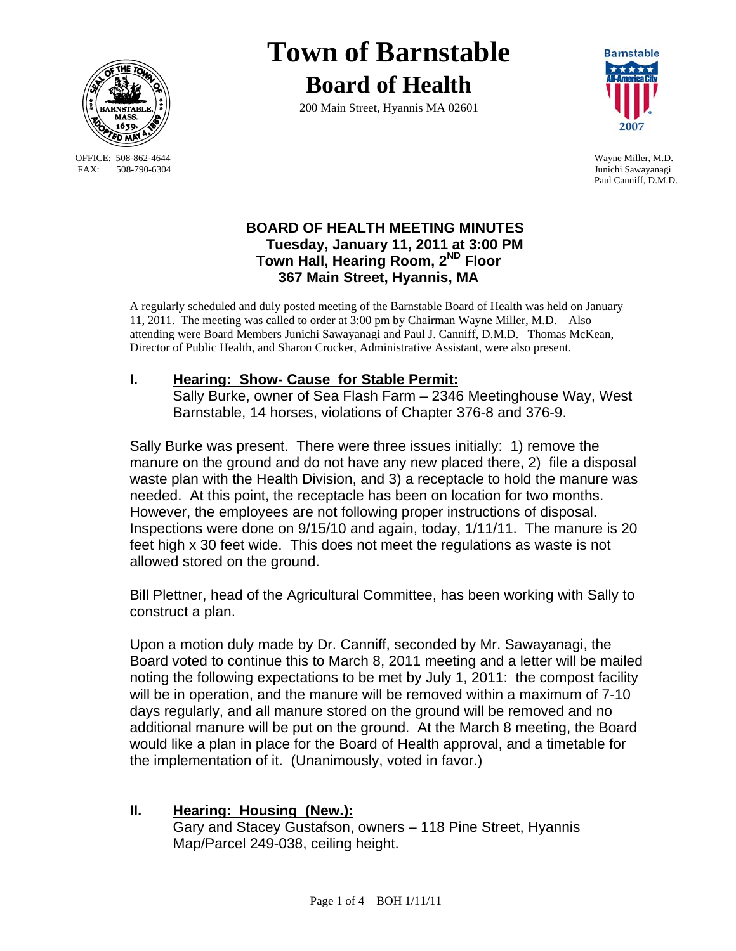

 OFFICE: 508-862-4644 Wayne Miller, M.D. FAX: 508-790-6304 Junichi Sawayanagi

# **Town of Barnstable Board of Health**

200 Main Street, Hyannis MA 02601



Paul Canniff, D.M.D.

## **BOARD OF HEALTH MEETING MINUTES Tuesday, January 11, 2011 at 3:00 PM Town Hall, Hearing Room, 2ND Floor 367 Main Street, Hyannis, MA**

A regularly scheduled and duly posted meeting of the Barnstable Board of Health was held on January 11, 2011. The meeting was called to order at 3:00 pm by Chairman Wayne Miller, M.D. Also attending were Board Members Junichi Sawayanagi and Paul J. Canniff, D.M.D. Thomas McKean, Director of Public Health, and Sharon Crocker, Administrative Assistant, were also present.

# **I. Hearing: Show- Cause for Stable Permit:**

 Sally Burke, owner of Sea Flash Farm – 2346 Meetinghouse Way, West Barnstable, 14 horses, violations of Chapter 376-8 and 376-9.

Sally Burke was present. There were three issues initially: 1) remove the manure on the ground and do not have any new placed there, 2) file a disposal waste plan with the Health Division, and 3) a receptacle to hold the manure was needed. At this point, the receptacle has been on location for two months. However, the employees are not following proper instructions of disposal. Inspections were done on 9/15/10 and again, today, 1/11/11. The manure is 20 feet high x 30 feet wide. This does not meet the regulations as waste is not allowed stored on the ground.

Bill Plettner, head of the Agricultural Committee, has been working with Sally to construct a plan.

Upon a motion duly made by Dr. Canniff, seconded by Mr. Sawayanagi, the Board voted to continue this to March 8, 2011 meeting and a letter will be mailed noting the following expectations to be met by July 1, 2011: the compost facility will be in operation, and the manure will be removed within a maximum of 7-10 days regularly, and all manure stored on the ground will be removed and no additional manure will be put on the ground. At the March 8 meeting, the Board would like a plan in place for the Board of Health approval, and a timetable for the implementation of it. (Unanimously, voted in favor.)

### **II. Hearing: Housing (New.):** Gary and Stacey Gustafson, owners – 118 Pine Street, Hyannis Map/Parcel 249-038, ceiling height.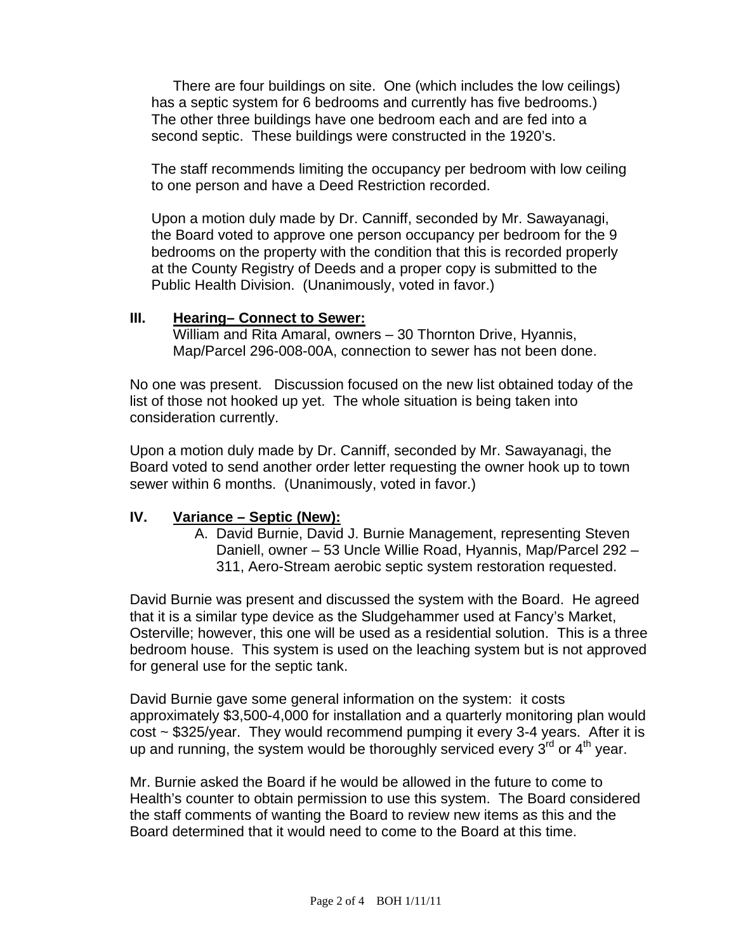There are four buildings on site. One (which includes the low ceilings) has a septic system for 6 bedrooms and currently has five bedrooms.) The other three buildings have one bedroom each and are fed into a second septic. These buildings were constructed in the 1920's.

The staff recommends limiting the occupancy per bedroom with low ceiling to one person and have a Deed Restriction recorded.

Upon a motion duly made by Dr. Canniff, seconded by Mr. Sawayanagi, the Board voted to approve one person occupancy per bedroom for the 9 bedrooms on the property with the condition that this is recorded properly at the County Registry of Deeds and a proper copy is submitted to the Public Health Division. (Unanimously, voted in favor.)

#### **III. Hearing– Connect to Sewer:**

 William and Rita Amaral, owners – 30 Thornton Drive, Hyannis, Map/Parcel 296-008-00A, connection to sewer has not been done.

No one was present. Discussion focused on the new list obtained today of the list of those not hooked up yet. The whole situation is being taken into consideration currently.

Upon a motion duly made by Dr. Canniff, seconded by Mr. Sawayanagi, the Board voted to send another order letter requesting the owner hook up to town sewer within 6 months. (Unanimously, voted in favor.)

## **IV. Variance – Septic (New):**

A. David Burnie, David J. Burnie Management, representing Steven Daniell, owner – 53 Uncle Willie Road, Hyannis, Map/Parcel 292 – 311, Aero-Stream aerobic septic system restoration requested.

David Burnie was present and discussed the system with the Board. He agreed that it is a similar type device as the Sludgehammer used at Fancy's Market, Osterville; however, this one will be used as a residential solution. This is a three bedroom house. This system is used on the leaching system but is not approved for general use for the septic tank.

David Burnie gave some general information on the system: it costs approximately \$3,500-4,000 for installation and a quarterly monitoring plan would cost ~ \$325/year. They would recommend pumping it every 3-4 years. After it is up and running, the system would be thoroughly serviced every  $3<sup>rd</sup>$  or  $4<sup>th</sup>$  year.

Mr. Burnie asked the Board if he would be allowed in the future to come to Health's counter to obtain permission to use this system. The Board considered the staff comments of wanting the Board to review new items as this and the Board determined that it would need to come to the Board at this time.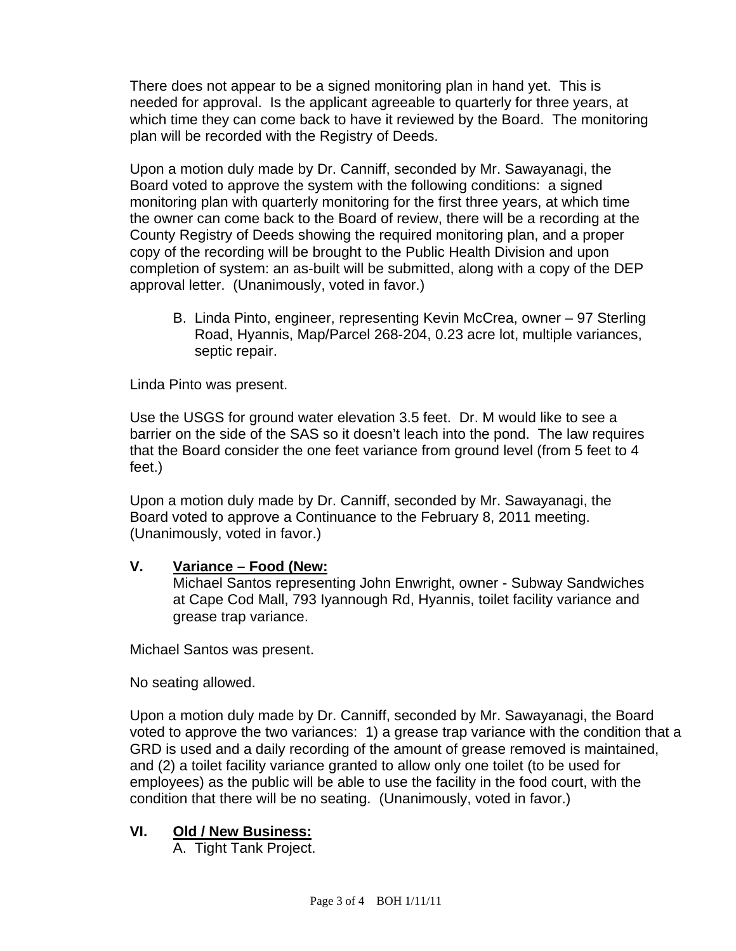There does not appear to be a signed monitoring plan in hand yet. This is needed for approval. Is the applicant agreeable to quarterly for three years, at which time they can come back to have it reviewed by the Board. The monitoring plan will be recorded with the Registry of Deeds.

Upon a motion duly made by Dr. Canniff, seconded by Mr. Sawayanagi, the Board voted to approve the system with the following conditions: a signed monitoring plan with quarterly monitoring for the first three years, at which time the owner can come back to the Board of review, there will be a recording at the County Registry of Deeds showing the required monitoring plan, and a proper copy of the recording will be brought to the Public Health Division and upon completion of system: an as-built will be submitted, along with a copy of the DEP approval letter. (Unanimously, voted in favor.)

B. Linda Pinto, engineer, representing Kevin McCrea, owner – 97 Sterling Road, Hyannis, Map/Parcel 268-204, 0.23 acre lot, multiple variances, septic repair.

Linda Pinto was present.

Use the USGS for ground water elevation 3.5 feet. Dr. M would like to see a barrier on the side of the SAS so it doesn't leach into the pond. The law requires that the Board consider the one feet variance from ground level (from 5 feet to 4 feet.)

Upon a motion duly made by Dr. Canniff, seconded by Mr. Sawayanagi, the Board voted to approve a Continuance to the February 8, 2011 meeting. (Unanimously, voted in favor.)

# **V. Variance – Food (New:**

 Michael Santos representing John Enwright, owner - Subway Sandwiches at Cape Cod Mall, 793 Iyannough Rd, Hyannis, toilet facility variance and grease trap variance.

Michael Santos was present.

No seating allowed.

Upon a motion duly made by Dr. Canniff, seconded by Mr. Sawayanagi, the Board voted to approve the two variances: 1) a grease trap variance with the condition that a GRD is used and a daily recording of the amount of grease removed is maintained, and (2) a toilet facility variance granted to allow only one toilet (to be used for employees) as the public will be able to use the facility in the food court, with the condition that there will be no seating. (Unanimously, voted in favor.)

# **VI. Old / New Business:**

A. Tight Tank Project.